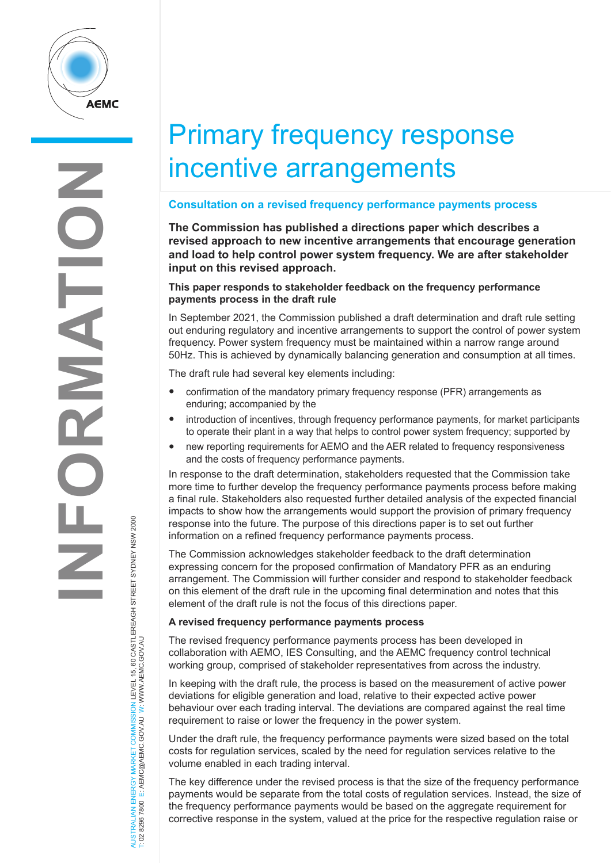

# Primary frequency response incentive arrangements

## **Consultation on a revised frequency performance payments process**

**The Commission has published a directions paper which describes a revised approach to new incentive arrangements that encourage generation and load to help control power system frequency. We are after stakeholder input on this revised approach.** 

### **This paper responds to stakeholder feedback on the frequency performance payments process in the draft rule**

In September 2021, the Commission published a draft determination and draft rule setting out enduring regulatory and incentive arrangements to support the control of power system frequency. Power system frequency must be maintained within a narrow range around 50Hz. This is achieved by dynamically balancing generation and consumption at all times.

The draft rule had several key elements including:

- confirmation of the mandatory primary frequency response (PFR) arrangements as enduring; accompanied by the
- introduction of incentives, through frequency performance payments, for market participants to operate their plant in a way that helps to control power system frequency; supported by
- new reporting requirements for AEMO and the AER related to frequency responsiveness and the costs of frequency performance payments.

In response to the draft determination, stakeholders requested that the Commission take more time to further develop the frequency performance payments process before making a final rule. Stakeholders also requested further detailed analysis of the expected financial impacts to show how the arrangements would support the provision of primary frequency response into the future. The purpose of this directions paper is to set out further information on a refined frequency performance payments process.

The Commission acknowledges stakeholder feedback to the draft determination expressing concern for the proposed confirmation of Mandatory PFR as an enduring arrangement. The Commission will further consider and respond to stakeholder feedback on this element of the draft rule in the upcoming final determination and notes that this element of the draft rule is not the focus of this directions paper.

### **A revised frequency performance payments process**

The revised frequency performance payments process has been developed in collaboration with AEMO, IES Consulting, and the AEMC frequency control technical working group, comprised of stakeholder representatives from across the industry.

In keeping with the draft rule, the process is based on the measurement of active power deviations for eligible generation and load, relative to their expected active power behaviour over each trading interval. The deviations are compared against the real time requirement to raise or lower the frequency in the power system.

Under the draft rule, the frequency performance payments were sized based on the total costs for regulation services, scaled by the need for regulation services relative to the volume enabled in each trading interval.

The key difference under the revised process is that the size of the frequency performance payments would be separate from the total costs of regulation services. Instead, the size of the frequency performance payments would be based on the aggregate requirement for corrective response in the system, valued at the price for the respective regulation raise or

AUSTRALIAN ENERGY MARKET COMMISSION LEVEL 15, 60 CASTLEREAGH STREET SYDNEY NSW 2000<br>T: 02 8296 7800 E: AEMC@AEMC.GOV.AU W: WWW.AEMC.GOV.AU AUSTRALIAN ENERGY MARKET COMMISSION LEVEL 15, 60 CASTLEREAGH STREET SYDNEY NSW 2000 T: 02 8296 7800 E: AEMC@AEMC.GOV.AU W: WWW.AEMC.GOV.AU